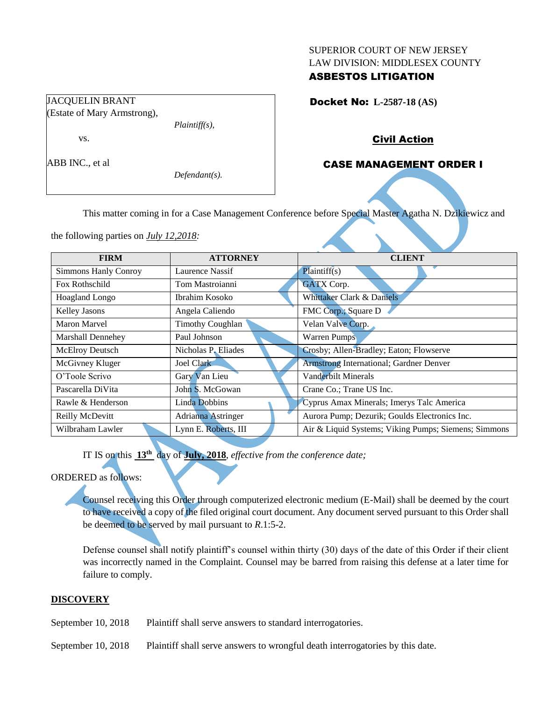#### SUPERIOR COURT OF NEW JERSEY LAW DIVISION: MIDDLESEX COUNTY

# ASBESTOS LITIGATION

Docket No: **L-2587-18 (AS)** 

## Civil Action

# CASE MANAGEMENT ORDER I

*Defendant(s).*

*Plaintiff(s),*

This matter coming in for a Case Management Conference before Special Master Agatha N. Dzikiewicz and

the following parties on *July 12,2018:*

JACQUELIN BRANT (Estate of Mary Armstrong),

vs.

ABB INC., et al

| <b>FIRM</b>                 | <b>ATTORNEY</b>           | <b>CLIENT</b>                                        |  |  |
|-----------------------------|---------------------------|------------------------------------------------------|--|--|
| <b>Simmons Hanly Conroy</b> | Laurence Nassif           | Plaintiff(s)                                         |  |  |
| Fox Rothschild              | Tom Mastroianni           | <b>GATX Corp.</b>                                    |  |  |
| Hoagland Longo              | Ibrahim Kosoko            | Whittaker Clark & Daniels                            |  |  |
| Kelley Jasons               | Angela Caliendo           | FMC Corp.; Square D                                  |  |  |
| Maron Marvel                | <b>Timothy Coughlan</b>   | Velan Valve Corp.                                    |  |  |
| Marshall Dennehey           | Paul Johnson              | <b>Warren Pumps</b>                                  |  |  |
| McElroy Deutsch             | Nicholas P. Eliades       | Crosby; Allen-Bradley; Eaton; Flowserve              |  |  |
| McGivney Kluger             | Joel Clark                | <b>Armstrong International; Gardner Denver</b>       |  |  |
| O'Toole Scrivo              | Gary Van Lieu             | Vanderbilt Minerals                                  |  |  |
| Pascarella DiVita           | John S. McGowan           | Crane Co.; Trane US Inc.                             |  |  |
| Rawle & Henderson           | Linda Dobbins             | Cyprus Amax Minerals; Imerys Talc America            |  |  |
| Reilly McDevitt             | <b>Adrianna Astringer</b> | Aurora Pump; Dezurik; Goulds Electronics Inc.        |  |  |
| Wilbraham Lawler            | Lynn E. Roberts, III      | Air & Liquid Systems; Viking Pumps; Siemens; Simmons |  |  |

IT IS on this **13th** day of **July, 2018**, *effective from the conference date;*

# ORDERED as follows:

Counsel receiving this Order through computerized electronic medium (E-Mail) shall be deemed by the court to have received a copy of the filed original court document. Any document served pursuant to this Order shall be deemed to be served by mail pursuant to *R*.1:5-2.

Defense counsel shall notify plaintiff's counsel within thirty (30) days of the date of this Order if their client was incorrectly named in the Complaint. Counsel may be barred from raising this defense at a later time for failure to comply.

## **DISCOVERY**

September 10, 2018 Plaintiff shall serve answers to standard interrogatories.

September 10, 2018 Plaintiff shall serve answers to wrongful death interrogatories by this date.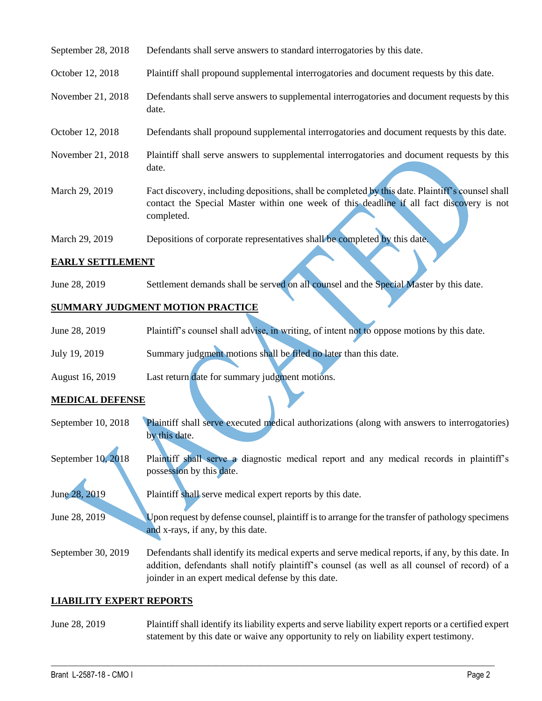| September 28, 2018 | Defendants shall serve answers to standard interrogatories by this date.                                                                                                                                    |
|--------------------|-------------------------------------------------------------------------------------------------------------------------------------------------------------------------------------------------------------|
| October 12, 2018   | Plaintiff shall propound supplemental interrogatories and document requests by this date.                                                                                                                   |
| November 21, 2018  | Defendants shall serve answers to supplemental interrogatories and document requests by this<br>date.                                                                                                       |
| October 12, 2018   | Defendants shall propound supplemental interrogatories and document requests by this date.                                                                                                                  |
| November 21, 2018  | Plaintiff shall serve answers to supplemental interrogatories and document requests by this<br>date.                                                                                                        |
| March 29, 2019     | Fact discovery, including depositions, shall be completed by this date. Plaintiff's counsel shall<br>contact the Special Master within one week of this deadline if all fact discovery is not<br>completed. |
| March 29, 2019     | Depositions of corporate representatives shall be completed by this date.                                                                                                                                   |

### **EARLY SETTLEMENT**

June 28, 2019 Settlement demands shall be served on all counsel and the Special Master by this date.

### **SUMMARY JUDGMENT MOTION PRACTICE**

| June 28, 2019   | Plaintiff's counsel shall advise, in writing, of intent not to oppose motions by this date. |
|-----------------|---------------------------------------------------------------------------------------------|
| July 19, 2019   | Summary judgment motions shall be filed no later than this date.                            |
| August 16, 2019 | Last return date for summary judgment motions.                                              |

#### **MEDICAL DEFENSE**

- September 10, 2018 Plaintiff shall serve executed medical authorizations (along with answers to interrogatories) by this date.
- September 10, 2018 Plaintiff shall serve a diagnostic medical report and any medical records in plaintiff's possession by this date.

June 28, 2019 Plaintiff shall serve medical expert reports by this date.

June 28, 2019 Upon request by defense counsel, plaintiff is to arrange for the transfer of pathology specimens and x-rays, if any, by this date.

September 30, 2019 Defendants shall identify its medical experts and serve medical reports, if any, by this date. In addition, defendants shall notify plaintiff's counsel (as well as all counsel of record) of a joinder in an expert medical defense by this date.

#### **LIABILITY EXPERT REPORTS**

## June 28, 2019 Plaintiff shall identify its liability experts and serve liability expert reports or a certified expert statement by this date or waive any opportunity to rely on liability expert testimony.

 $\_$  , and the set of the set of the set of the set of the set of the set of the set of the set of the set of the set of the set of the set of the set of the set of the set of the set of the set of the set of the set of th